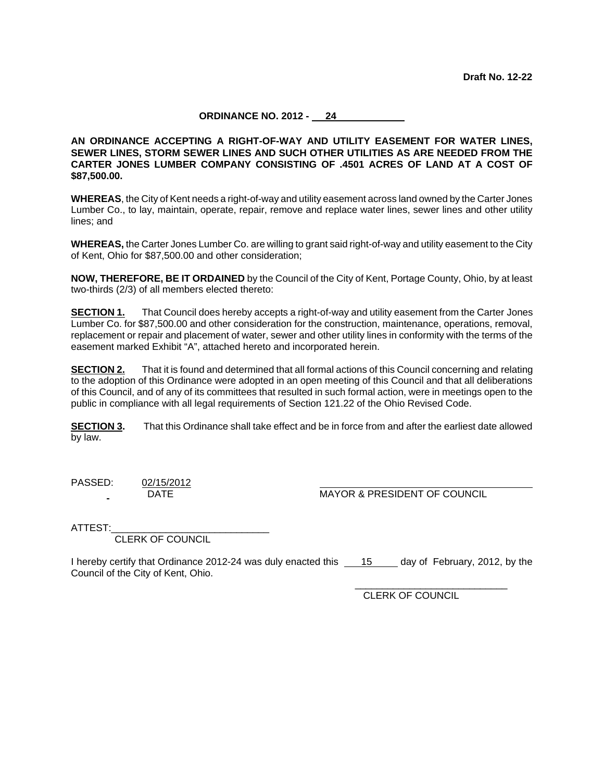## **ORDINANCE NO. 2012 - 24**

**AN ORDINANCE ACCEPTING A RIGHT-OF-WAY AND UTILITY EASEMENT FOR WATER LINES, SEWER LINES, STORM SEWER LINES AND SUCH OTHER UTILITIES AS ARE NEEDED FROM THE CARTER JONES LUMBER COMPANY CONSISTING OF .4501 ACRES OF LAND AT A COST OF \$87,500.00.**

**WHEREAS**, the City of Kent needs a right-of-way and utility easement across land owned by the Carter Jones Lumber Co., to lay, maintain, operate, repair, remove and replace water lines, sewer lines and other utility lines; and

**WHEREAS,** the Carter Jones Lumber Co. are willing to grant said right-of-way and utility easement to the City of Kent, Ohio for \$87,500.00 and other consideration;

**NOW, THEREFORE, BE IT ORDAINED** by the Council of the City of Kent, Portage County, Ohio, by at least two-thirds (2/3) of all members elected thereto:

**SECTION 1.** That Council does hereby accepts a right-of-way and utility easement from the Carter Jones Lumber Co. for \$87,500.00 and other consideration for the construction, maintenance, operations, removal, replacement or repair and placement of water, sewer and other utility lines in conformity with the terms of the easement marked Exhibit "A", attached hereto and incorporated herein.

**SECTION 2.** That it is found and determined that all formal actions of this Council concerning and relating to the adoption of this Ordinance were adopted in an open meeting of this Council and that all deliberations of this Council, and of any of its committees that resulted in such formal action, were in meetings open to the public in compliance with all legal requirements of Section 121.22 of the Ohio Revised Code.

**SECTION 3.** That this Ordinance shall take effect and be in force from and after the earliest date allowed by law.

PASSED: 02/15/2012

DATE MAYOR & PRESIDENT OF COUNCIL

ATTEST:

CLERK OF COUNCIL

I hereby certify that Ordinance 2012-24 was duly enacted this 15 day of February, 2012, by the Council of the City of Kent, Ohio.

> \_\_\_\_\_\_\_\_\_\_\_\_\_\_\_\_\_\_\_\_\_\_\_\_\_\_\_\_ CLERK OF COUNCIL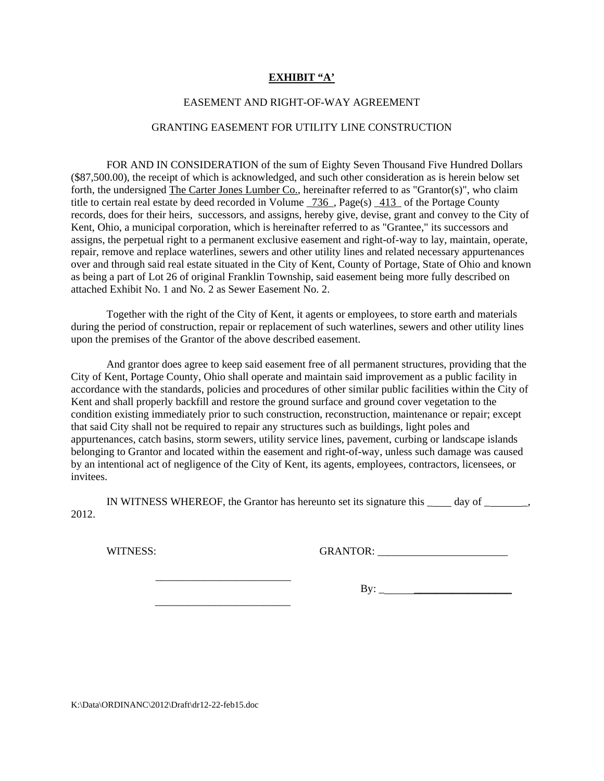## **EXHIBIT "A'**

### EASEMENT AND RIGHT-OF-WAY AGREEMENT

### GRANTING EASEMENT FOR UTILITY LINE CONSTRUCTION

 FOR AND IN CONSIDERATION of the sum of Eighty Seven Thousand Five Hundred Dollars (\$87,500.00), the receipt of which is acknowledged, and such other consideration as is herein below set forth, the undersigned The Carter Jones Lumber Co., hereinafter referred to as "Grantor(s)", who claim title to certain real estate by deed recorded in Volume  $736$ , Page(s)  $413$  of the Portage County records, does for their heirs, successors, and assigns, hereby give, devise, grant and convey to the City of Kent, Ohio, a municipal corporation, which is hereinafter referred to as "Grantee," its successors and assigns, the perpetual right to a permanent exclusive easement and right-of-way to lay, maintain, operate, repair, remove and replace waterlines, sewers and other utility lines and related necessary appurtenances over and through said real estate situated in the City of Kent, County of Portage, State of Ohio and known as being a part of Lot 26 of original Franklin Township, said easement being more fully described on attached Exhibit No. 1 and No. 2 as Sewer Easement No. 2.

 Together with the right of the City of Kent, it agents or employees, to store earth and materials during the period of construction, repair or replacement of such waterlines, sewers and other utility lines upon the premises of the Grantor of the above described easement.

 And grantor does agree to keep said easement free of all permanent structures, providing that the City of Kent, Portage County, Ohio shall operate and maintain said improvement as a public facility in accordance with the standards, policies and procedures of other similar public facilities within the City of Kent and shall properly backfill and restore the ground surface and ground cover vegetation to the condition existing immediately prior to such construction, reconstruction, maintenance or repair; except that said City shall not be required to repair any structures such as buildings, light poles and appurtenances, catch basins, storm sewers, utility service lines, pavement, curbing or landscape islands belonging to Grantor and located within the easement and right-of-way, unless such damage was caused by an intentional act of negligence of the City of Kent, its agents, employees, contractors, licensees, or invitees.

 IN WITNESS WHEREOF, the Grantor has hereunto set its signature this \_ day of \_ \_, 2012.

WITNESS: GRANTOR: \_\_\_\_\_\_\_\_\_\_\_\_\_\_\_\_\_\_\_\_\_\_\_\_

 $\frac{1}{2}$  ,  $\frac{1}{2}$  ,  $\frac{1}{2}$  ,  $\frac{1}{2}$  ,  $\frac{1}{2}$  ,  $\frac{1}{2}$  ,  $\frac{1}{2}$  ,  $\frac{1}{2}$  ,  $\frac{1}{2}$  ,  $\frac{1}{2}$  ,  $\frac{1}{2}$  ,  $\frac{1}{2}$  ,  $\frac{1}{2}$  ,  $\frac{1}{2}$  ,  $\frac{1}{2}$  ,  $\frac{1}{2}$  ,  $\frac{1}{2}$  ,  $\frac{1}{2}$  ,  $\frac{1$ 

 $\frac{1}{\sqrt{2}}$  ,  $\frac{1}{\sqrt{2}}$  ,  $\frac{1}{\sqrt{2}}$  ,  $\frac{1}{\sqrt{2}}$  ,  $\frac{1}{\sqrt{2}}$  ,  $\frac{1}{\sqrt{2}}$  ,  $\frac{1}{\sqrt{2}}$  ,  $\frac{1}{\sqrt{2}}$  ,  $\frac{1}{\sqrt{2}}$  ,  $\frac{1}{\sqrt{2}}$  ,  $\frac{1}{\sqrt{2}}$  ,  $\frac{1}{\sqrt{2}}$  ,  $\frac{1}{\sqrt{2}}$  ,  $\frac{1}{\sqrt{2}}$  ,  $\frac{1}{\sqrt{2}}$ 

 $\text{By:}\_$ 

K:\Data\ORDINANC\2012\Draft\dr12-22-feb15.doc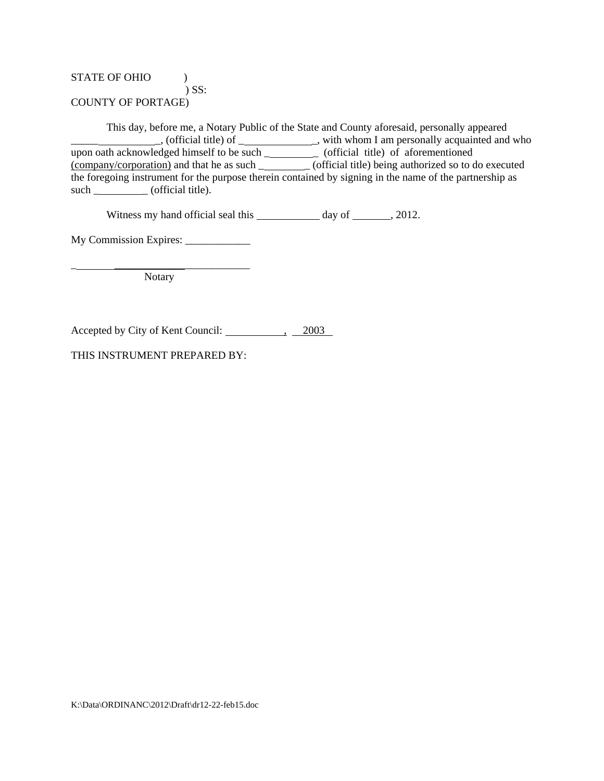# STATE OF OHIO  $\qquad$  ) ) SS: COUNTY OF PORTAGE)

 This day, before me, a Notary Public of the State and County aforesaid, personally appeared \_\_\_\_\_ \_, (official title) of \_ \_, with whom I am personally acquainted and who upon oath acknowledged himself to be such \_\_\_\_\_\_\_\_\_\_\_\_\_ (official title) of aforementioned (company/corporation) and that he as such \_\_\_\_\_\_\_\_\_ (official title) being authorized so to do executed the foregoing instrument for the purpose therein contained by signing in the name of the partnership as such \_\_\_\_\_\_\_\_\_\_\_ (official title).

Witness my hand official seal this  $\qquad \qquad$  day of  $\qquad \qquad$ , 2012.

My Commission Expires: \_\_\_\_\_\_\_\_\_\_\_\_

\_ \_\_\_\_\_\_\_\_\_\_\_\_\_\_\_\_\_\_\_\_\_\_\_\_\_ Notary

Accepted by City of Kent Council: <u>2003</u>

THIS INSTRUMENT PREPARED BY: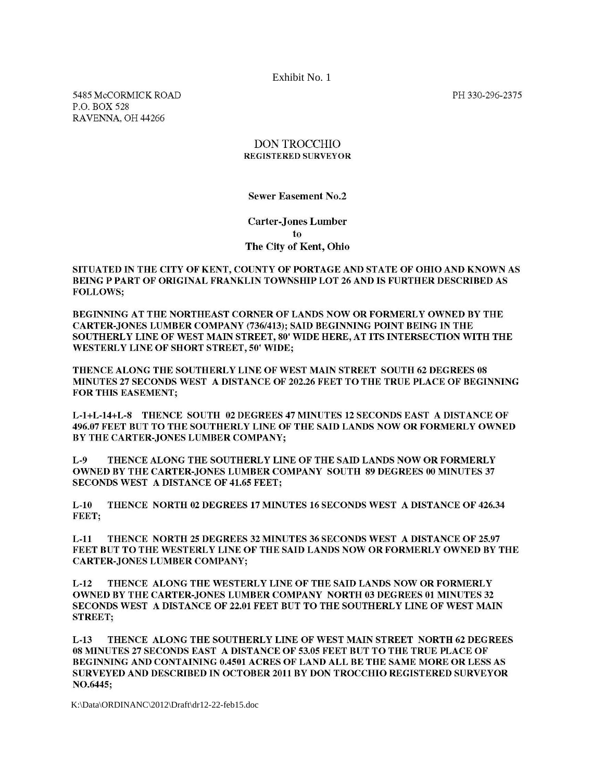Exhibit No. 1

5485 McCORMICK ROAD P.O. BOX 528 RAVENNA, OH 44266

PH 330-296-2375

## DON TROCCHIO **REGISTERED SURVEYOR**

**Sewer Easement No.2** 

**Carter-Jones Lumber** to The City of Kent, Ohio

SITUATED IN THE CITY OF KENT, COUNTY OF PORTAGE AND STATE OF OHIO AND KNOWN AS BEING P PART OF ORIGINAL FRANKLIN TOWNSHIP LOT 26 AND IS FURTHER DESCRIBED AS **FOLLOWS:** 

BEGINNING AT THE NORTHEAST CORNER OF LANDS NOW OR FORMERLY OWNED BY THE CARTER-JONES LUMBER COMPANY (736/413); SAID BEGINNING POINT BEING IN THE SOUTHERLY LINE OF WEST MAIN STREET, 80' WIDE HERE, AT ITS INTERSECTION WITH THE WESTERLY LINE OF SHORT STREET, 50' WIDE;

THENCE ALONG THE SOUTHERLY LINE OF WEST MAIN STREET SOUTH 62 DEGREES 08 MINUTES 27 SECONDS WEST A DISTANCE OF 202.26 FEET TO THE TRUE PLACE OF BEGINNING **FOR THIS EASEMENT;** 

L-1+L-14+L-8 THENCE SOUTH 02 DEGREES 47 MINUTES 12 SECONDS EAST A DISTANCE OF 496.07 FEET BUT TO THE SOUTHERLY LINE OF THE SAID LANDS NOW OR FORMERLY OWNED BY THE CARTER-JONES LUMBER COMPANY;

 $L-9$ THENCE ALONG THE SOUTHERLY LINE OF THE SAID LANDS NOW OR FORMERLY OWNED BY THE CARTER-JONES LUMBER COMPANY SOUTH 89 DEGREES 00 MINUTES 37 SECONDS WEST A DISTANCE OF 41.65 FEET;

 $L-10$ THENCE NORTH 02 DEGREES 17 MINUTES 16 SECONDS WEST A DISTANCE OF 426.34 FEET:

THENCE NORTH 25 DEGREES 32 MINUTES 36 SECONDS WEST A DISTANCE OF 25.97  $L-11$ FEET BUT TO THE WESTERLY LINE OF THE SAID LANDS NOW OR FORMERLY OWNED BY THE **CARTER-JONES LUMBER COMPANY;** 

 $L-12$ THENCE ALONG THE WESTERLY LINE OF THE SAID LANDS NOW OR FORMERLY **OWNED BY THE CARTER-JONES LUMBER COMPANY NORTH 03 DEGREES 01 MINUTES 32** SECONDS WEST A DISTANCE OF 22.01 FEET BUT TO THE SOUTHERLY LINE OF WEST MAIN **STREET:** 

 $L-13$ THENCE ALONG THE SOUTHERLY LINE OF WEST MAIN STREET NORTH 62 DEGREES 08 MINUTES 27 SECONDS EAST A DISTANCE OF 53.05 FEET BUT TO THE TRUE PLACE OF BEGINNING AND CONTAINING 0.4501 ACRES OF LAND ALL BE THE SAME MORE OR LESS AS SURVEYED AND DESCRIBED IN OCTOBER 2011 BY DON TROCCHIO REGISTERED SURVEYOR NO.6445;

K:\Data\ORDINANC\2012\Draft\dr12-22-feb15.doc